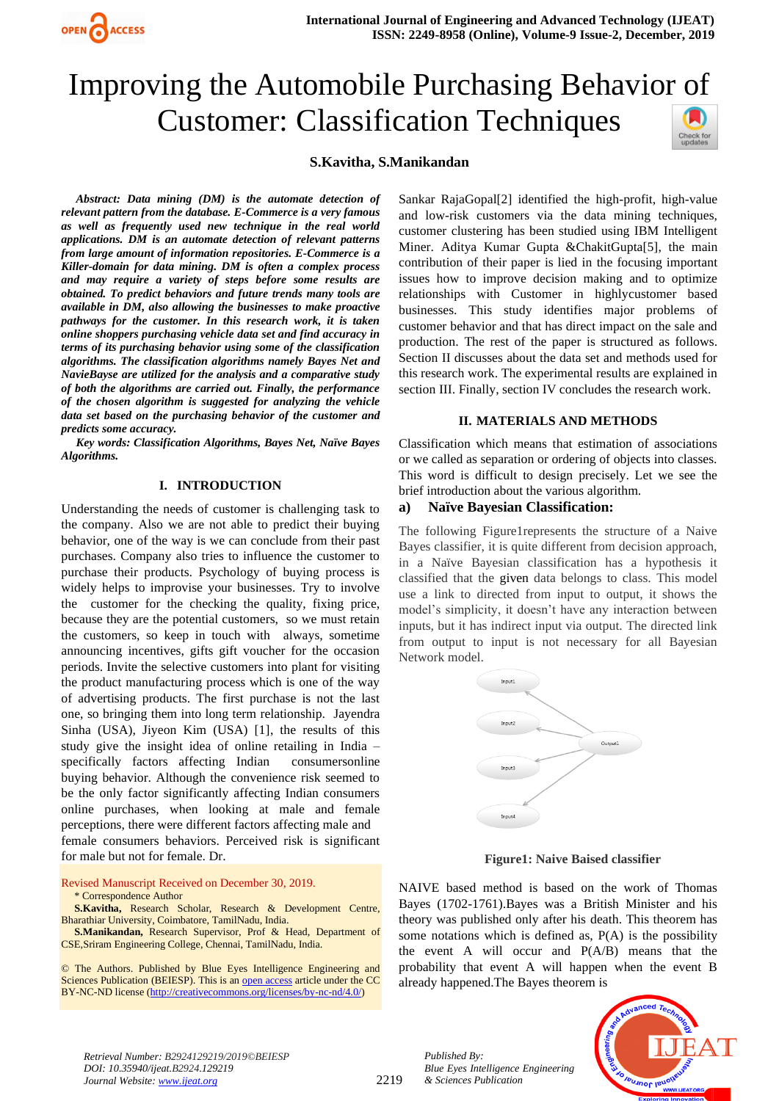

# Improving the Automobile Purchasing Behavior of Customer: Classification Techniques Check for<br>updates

# **S.Kavitha, S.Manikandan**

 *Abstract: Data mining (DM) is the automate detection of relevant pattern from the database. E-Commerce is a very famous as well as frequently used new technique in the real world applications. DM is an automate detection of relevant patterns from large amount of information repositories. E-Commerce is a Killer-domain for data mining. DM is often a complex process and may require a variety of steps before some results are obtained. To predict behaviors and future trends many tools are available in DM, also allowing the businesses to make proactive pathways for the customer. In this research work, it is taken online shoppers purchasing vehicle data set and find accuracy in terms of its purchasing behavior using some of the classification algorithms. The classification algorithms namely Bayes Net and NavieBayse are utilized for the analysis and a comparative study of both the algorithms are carried out. Finally, the performance of the chosen algorithm is suggested for analyzing the vehicle data set based on the purchasing behavior of the customer and predicts some accuracy.* 

 *Key words: Classification Algorithms, Bayes Net, Naïve Bayes Algorithms.*

# **I. INTRODUCTION**

Understanding the needs of customer is challenging task to the company. Also we are not able to predict their buying behavior, one of the way is we can conclude from their past purchases. Company also tries to influence the customer to purchase their products. Psychology of buying process is widely helps to improvise your businesses. Try to involve the customer for the checking the quality, fixing price, because they are the potential customers, so we must retain the customers, so keep in touch with always, sometime announcing incentives, gifts gift voucher for the occasion periods. Invite the selective customers into plant for visiting the product manufacturing process which is one of the way of advertising products. The first purchase is not the last one, so bringing them into long term relationship. Jayendra Sinha (USA), Jiyeon Kim (USA) [1], the results of this study give the insight idea of online retailing in India – specifically factors affecting Indian consumersonline buying behavior. Although the convenience risk seemed to be the only factor significantly affecting Indian consumers online purchases, when looking at male and female perceptions, there were different factors affecting male and female consumers behaviors. Perceived risk is significant for male but not for female. Dr.

Revised Manuscript Received on December 30, 2019. \* Correspondence Author

**S.Kavitha,** Research Scholar, Research & Development Centre, Bharathiar University, Coimbatore, TamilNadu, India.

**S.Manikandan,** Research Supervisor, Prof & Head, Department of CSE,Sriram Engineering College, Chennai, TamilNadu, India.

© The Authors. Published by Blue Eyes Intelligence Engineering and Sciences Publication (BEIESP). This is a[n open access](https://www.openaccess.nl/en/open-publications) article under the CC BY-NC-ND license [\(http://creativecommons.org/licenses/by-nc-nd/4.0/\)](http://creativecommons.org/licenses/by-nc-nd/4.0/)

Sankar RajaGopal[2] identified the high-profit, high-value and low-risk customers via the data mining techniques, customer clustering has been studied using IBM Intelligent Miner. Aditya Kumar Gupta &ChakitGupta[5], the main contribution of their paper is lied in the focusing important issues how to improve decision making and to optimize relationships with Customer in highlycustomer based businesses. This study identifies major problems of customer behavior and that has direct impact on the sale and production. The rest of the paper is structured as follows. Section II discusses about the data set and methods used for this research work. The experimental results are explained in section III. Finally, section IV concludes the research work.

# **II. MATERIALS AND METHODS**

Classification which means that estimation of associations or we called as separation or ordering of objects into classes. This word is difficult to design precisely. Let we see the brief introduction about the various algorithm.

# **a) Naïve Bayesian Classification:**

The following Figure1represents the structure of a Naive Bayes classifier, it is quite different from decision approach, in a Naïve Bayesian classification has a hypothesis it classified that the given data belongs to class. This model use a link to directed from input to output, it shows the model's simplicity, it doesn't have any interaction between inputs, but it has indirect input via output. The directed link from output to input is not necessary for all Bayesian Network model.



**Figure1: Naive Baised classifier**

NAIVE based method is based on the work of Thomas Bayes (1702-1761).Bayes was a British Minister and his theory was published only after his death. This theorem has some notations which is defined as, P(A) is the possibility the event A will occur and P(A/B) means that the probability that event A will happen when the event B already happened.The Bayes theorem is



*Retrieval Number: B2924129219/2019©BEIESP DOI: 10.35940/ijeat.B2924.129219 Journal Website[: www.ijeat.org](http://www.ijeat.org/)*

2219

*Published By: Blue Eyes Intelligence Engineering & Sciences Publication*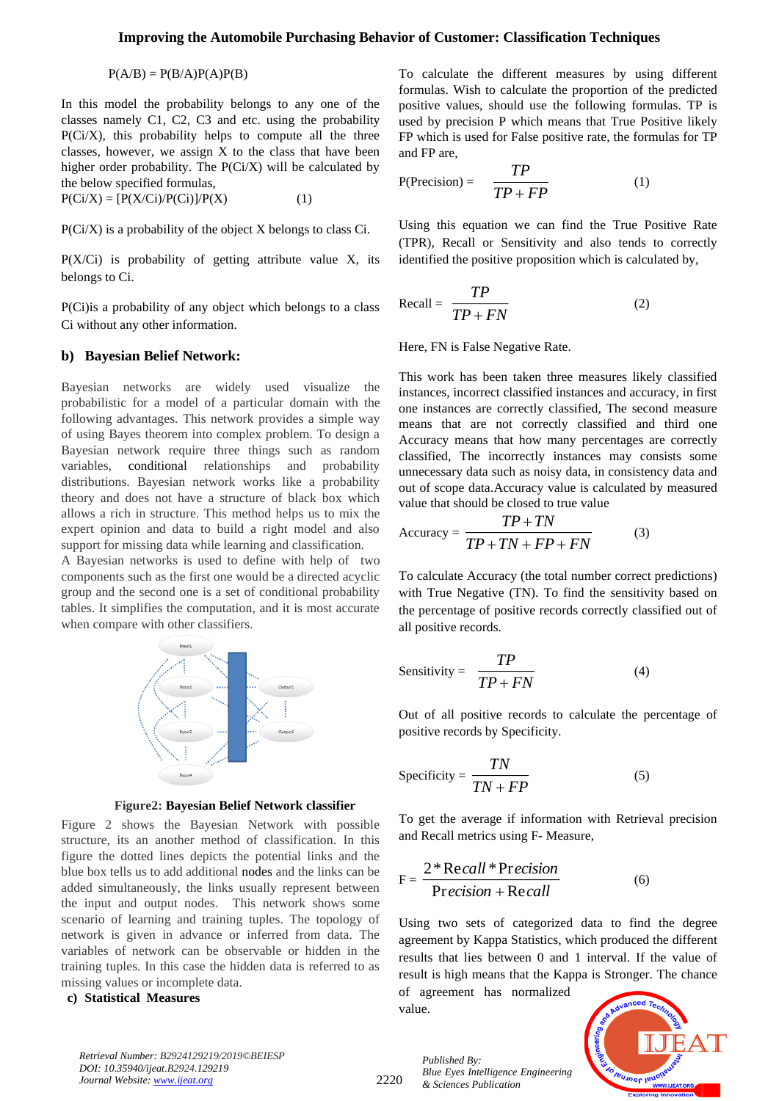# **Improving the Automobile Purchasing Behavior of Customer: Classification Techniques**

 $P(A/B) = P(B/A)P(A)P(B)$ 

In this model the probability belongs to any one of the classes namely C1, C2, C3 and etc. using the probability P(Ci/X), this probability helps to compute all the three classes, however, we assign X to the class that have been higher order probability. The  $P(Ci/X)$  will be calculated by the below specified formulas,  $P(Ci/X) = [P(X/Ci)/P(Ci)]/P(X)$  (1)

P(Ci/X) is a probability of the object X belongs to class Ci.

 $P(X/Ci)$  is probability of getting attribute value X, its belongs to Ci.

P(Ci)is a probability of any object which belongs to a class Ci without any other information.

## **b) Bayesian Belief Network:**

Bayesian networks are widely used visualize the probabilistic for a model of a particular domain with the following advantages. This network provides a simple way of using Bayes theorem into complex problem. To design a Bayesian network require three things such as random variables, conditional relationships and probability distributions. Bayesian network works like a probability theory and does not have a structure of black box which allows a rich in structure. This method helps us to mix the expert opinion and data to build a right model and also support for missing data while learning and classification.

A Bayesian networks is used to define with help of two components such as the first one would be a directed acyclic group and the second one is a set of conditional probability tables. It simplifies the computation, and it is most accurate when compare with other classifiers.



**Figure2: Bayesian Belief Network classifier**

Figure 2 shows the Bayesian Network with possible structure, its an another method of classification. In this figure the dotted lines depicts the potential links and the blue box tells us to add additional nodes and the links can be added simultaneously, the links usually represent between the input and output nodes. This network shows some scenario of learning and training tuples. The topology of network is given in advance or inferred from data. The variables of network can be observable or hidden in the training tuples. In this case the hidden data is referred to as missing values or incomplete data.

#### **c) Statistical Measures**

To calculate the different measures by using different formulas. Wish to calculate the proportion of the predicted positive values, should use the following formulas. TP is used by precision P which means that True Positive likely FP which is used for False positive rate, the formulas for TP and FP are,

$$
P(\text{Precision}) = \frac{TP}{TP + FP} \tag{1}
$$

Using this equation we can find the True Positive Rate (TPR), Recall or Sensitivity and also tends to correctly identified the positive proposition which is calculated by,

$$
Recall = \frac{TP}{TP + FN}
$$
 (2)

Here, FN is False Negative Rate.

This work has been taken three measures likely classified instances, incorrect classified instances and accuracy, in first one instances are correctly classified, The second measure means that are not correctly classified and third one Accuracy means that how many percentages are correctly classified, The incorrectly instances may consists some unnecessary data such as noisy data, in consistency data and out of scope data.Accuracy value is calculated by measured value that should be closed to true value

$$
Accuracy = \frac{TP + TN}{TP + TN + FP + FN}
$$
 (3)

To calculate Accuracy (the total number correct predictions) with True Negative (TN). To find the sensitivity based on the percentage of positive records correctly classified out of all positive records.

Sensitivity = 
$$
\frac{TP}{TP + FN}
$$
 (4)

Out of all positive records to calculate the percentage of positive records by Specificity.

$$
Specificity = \frac{TN}{TN + FP}
$$
 (5)

To get the average if information with Retrieval precision and Recall metrics using F- Measure,

$$
F = \frac{2 * Recall * Precision}{Precision + Recall}
$$
 (6)

Using two sets of categorized data to find the degree agreement by Kappa Statistics, which produced the different results that lies between 0 and 1 interval. If the value of result is high means that the Kappa is Stronger. The chance

of agreement has normalized value.



*Retrieval Number: B2924129219/2019©BEIESP DOI: 10.35940/ijeat.B2924.129219 Journal Website[: www.ijeat.org](http://www.ijeat.org/)*

2220

*Published By: Blue Eyes Intelligence Engineering & Sciences Publication*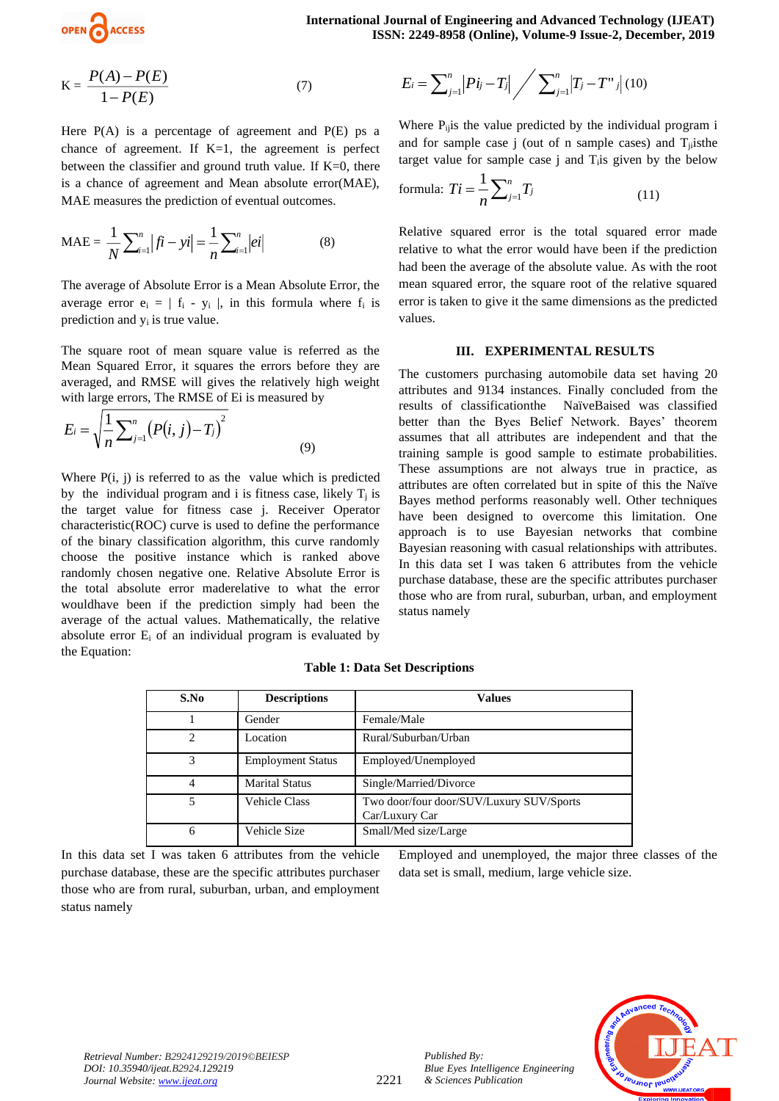

$$
K = \frac{P(A) - P(E)}{1 - P(E)}\tag{7}
$$

Here  $P(A)$  is a percentage of agreement and  $P(E)$  ps a chance of agreement. If  $K=1$ , the agreement is perfect between the classifier and ground truth value. If K=0, there is a chance of agreement and Mean absolute error(MAE), MAE measures the prediction of eventual outcomes.

$$
\text{MAE} = \frac{1}{N} \sum_{i=1}^{n} |fi - yi| = \frac{1}{n} \sum_{i=1}^{n} |ei|
$$
 (8)

The average of Absolute Error is a Mean Absolute Error, the average error  $e_i = | f_i - y_i |$ , in this formula where  $f_i$  is prediction and y<sup>i</sup> is true value.

The square root of mean square value is referred as the Mean Squared Error, it squares the errors before they are averaged, and RMSE will gives the relatively high weight with large errors, The RMSE of Ei is measured by

$$
E_i = \sqrt{\frac{1}{n} \sum_{j=1}^{n} (P(i, j) - T_j)^2}
$$
(9)

Where  $P(i, j)$  is referred to as the value which is predicted by the individual program and i is fitness case, likely  $T_i$  is the target value for fitness case j. Receiver Operator characteristic(ROC) curve is used to define the performance of the binary classification algorithm, this curve randomly choose the positive instance which is ranked above randomly chosen negative one. Relative Absolute Error is the total absolute error maderelative to what the error wouldhave been if the prediction simply had been the average of the actual values. Mathematically, the relative absolute error E<sup>i</sup> of an individual program is evaluated by the Equation:

$$
E_{i} = \sum_{j=1}^{n} |P_{ij} - T_{j}| \bigg/ \sum_{j=1}^{n} |T_{j} - T^{*}| \bigg/ (10)
$$

Where  $P_{ij}$  is the value predicted by the individual program i and for sample case j (out of n sample cases) and  $T_{ii}$ isthe target value for sample case j and Tiis given by the below

formula: 
$$
Ti = \frac{1}{n} \sum_{j=1}^{n} T_j
$$
 (11)

Relative squared error is the total squared error made relative to what the error would have been if the prediction had been the average of the absolute value. As with the root mean squared error, the square root of the relative squared error is taken to give it the same dimensions as the predicted values.

#### **III. EXPERIMENTAL RESULTS**

The customers purchasing automobile data set having 20 attributes and 9134 instances. Finally concluded from the results of classificationthe NaïveBaised was classified better than the Byes Belief Network. Bayes' theorem assumes that all attributes are independent and that the training sample is good sample to estimate probabilities. These assumptions are not always true in practice, as attributes are often correlated but in spite of this the Naïve Bayes method performs reasonably well. Other techniques have been designed to overcome this limitation. One approach is to use Bayesian networks that combine Bayesian reasoning with casual relationships with attributes. In this data set I was taken 6 attributes from the vehicle purchase database, these are the specific attributes purchaser those who are from rural, suburban, urban, and employment status namely

| S.No | <b>Descriptions</b>      | <b>Values</b>                                              |
|------|--------------------------|------------------------------------------------------------|
|      | Gender                   | Female/Male                                                |
| 2    | Location                 | Rural/Suburban/Urban                                       |
| 3    | <b>Employment Status</b> | Employed/Unemployed                                        |
| 4    | <b>Marital Status</b>    | Single/Married/Divorce                                     |
| 5    | <b>Vehicle Class</b>     | Two door/four door/SUV/Luxury SUV/Sports<br>Car/Luxury Car |
| 6    | Vehicle Size             | Small/Med size/Large                                       |

2221

# **Table 1: Data Set Descriptions**

In this data set  $\overline{I}$  was taken 6 attributes from the vehicle purchase database, these are the specific attributes purchaser those who are from rural, suburban, urban, and employment status namely

Employed and unemployed, the major three classes of the data set is small, medium, large vehicle size.

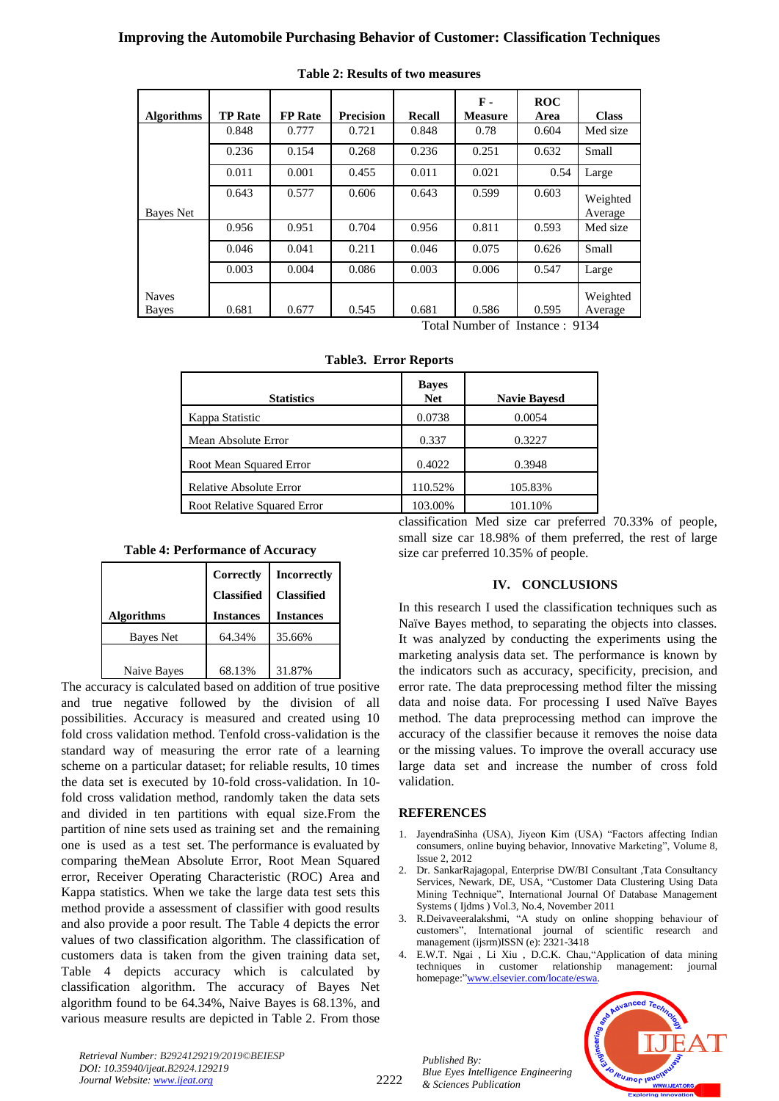# **Improving the Automobile Purchasing Behavior of Customer: Classification Techniques**

| <b>Algorithms</b>            | <b>TP Rate</b> | <b>FP</b> Rate | <b>Precision</b> | <b>Recall</b> | $\mathbf{F}$ .<br><b>Measure</b> | <b>ROC</b><br>Area | <b>Class</b>        |
|------------------------------|----------------|----------------|------------------|---------------|----------------------------------|--------------------|---------------------|
|                              | 0.848          | 0.777          | 0.721            | 0.848         | 0.78                             | 0.604              | Med size            |
|                              | 0.236          | 0.154          | 0.268            | 0.236         | 0.251                            | 0.632              | Small               |
|                              | 0.011          | 0.001          | 0.455            | 0.011         | 0.021                            | 0.54               | Large               |
| Bayes Net                    | 0.643          | 0.577          | 0.606            | 0.643         | 0.599                            | 0.603              | Weighted<br>Average |
|                              | 0.956          | 0.951          | 0.704            | 0.956         | 0.811                            | 0.593              | Med size            |
|                              | 0.046          | 0.041          | 0.211            | 0.046         | 0.075                            | 0.626              | Small               |
|                              | 0.003          | 0.004          | 0.086            | 0.003         | 0.006                            | 0.547              | Large               |
| <b>Naves</b><br><b>Bayes</b> | 0.681          | 0.677          | 0.545            | 0.681         | 0.586                            | 0.595              | Weighted<br>Average |

| <b>Table 2: Results of two measures</b> |
|-----------------------------------------|
|                                         |

Total Number of Instance : 9134

|  |  | <b>Table3. Error Reports</b> |
|--|--|------------------------------|
|--|--|------------------------------|

| <b>Statistics</b>                  | <b>Bayes</b><br><b>Net</b> | <b>Navie Bayesd</b> |
|------------------------------------|----------------------------|---------------------|
| Kappa Statistic                    | 0.0738                     | 0.0054              |
| Mean Absolute Error                | 0.337                      | 0.3227              |
| Root Mean Squared Error            | 0.4022                     | 0.3948              |
| Relative Absolute Error            | 110.52%                    | 105.83%             |
| <b>Root Relative Squared Error</b> | 103.00%                    | 101.10%             |

# **Table 4: Performance of Accuracy**

| <b>Algorithms</b> | Correctly<br><b>Classified</b><br><b>Instances</b> | <b>Incorrectly</b><br><b>Classified</b><br><b>Instances</b> |
|-------------------|----------------------------------------------------|-------------------------------------------------------------|
| <b>Bayes Net</b>  | 64.34%                                             | 35.66%                                                      |
| Naive Bayes       | 68.13%                                             | 31.87%                                                      |

The accuracy is calculated based on addition of true positive and true negative followed by the division of all possibilities. Accuracy is measured and created using 10 fold cross validation method. Tenfold cross-validation is the standard way of measuring the error rate of a learning scheme on a particular dataset; for reliable results, 10 times the data set is executed by 10-fold cross-validation. In 10 fold cross validation method, randomly taken the data sets and divided in ten partitions with equal size.From the partition of nine sets used as training set and the remaining one is used as a test set. The performance is evaluated by comparing theMean Absolute Error, Root Mean Squared error, Receiver Operating Characteristic (ROC) Area and Kappa statistics. When we take the large data test sets this method provide a assessment of classifier with good results and also provide a poor result. The Table 4 depicts the error values of two classification algorithm. The classification of customers data is taken from the given training data set, Table 4 depicts accuracy which is calculated by classification algorithm. The accuracy of Bayes Net algorithm found to be 64.34%, Naive Bayes is 68.13%, and various measure results are depicted in Table 2. From those classification Med size car preferred 70.33% of people, small size car 18.98% of them preferred, the rest of large size car preferred 10.35% of people.

# **IV. CONCLUSIONS**

In this research I used the classification techniques such as Naïve Bayes method, to separating the objects into classes. It was analyzed by conducting the experiments using the marketing analysis data set. The performance is known by the indicators such as accuracy, specificity, precision, and error rate. The data preprocessing method filter the missing data and noise data. For processing I used Naïve Bayes method. The data preprocessing method can improve the accuracy of the classifier because it removes the noise data or the missing values. To improve the overall accuracy use large data set and increase the number of cross fold validation.

#### **REFERENCES**

- 1. JayendraSinha (USA), Jiyeon Kim (USA) "Factors affecting Indian consumers, online buying behavior, Innovative Marketing", Volume 8, Issue 2, 2012
- 2. Dr. SankarRajagopal, Enterprise DW/BI Consultant ,Tata Consultancy Services, Newark, DE, USA, "Customer Data Clustering Using Data Mining Technique", International Journal Of Database Management Systems ( Ijdms ) Vol.3, No.4, November 2011
- 3. R.Deivaveeralakshmi, "A study on online shopping behaviour of customers", International journal of scientific research and management (ijsrm)ISSN (e): 2321-3418
- 4. E.W.T. Ngai , Li Xiu , D.C.K. Chau,"Application of data mining techniques in customer relationship management: journal homepage:"[www.elsevier.com/locate/eswa.](http://www.elsevier.com/locate/eswa)



*Retrieval Number: B2924129219/2019©BEIESP DOI: 10.35940/ijeat.B2924.129219 Journal Website[: www.ijeat.org](http://www.ijeat.org/)*

*Published By: Blue Eyes Intelligence Engineering & Sciences Publication*